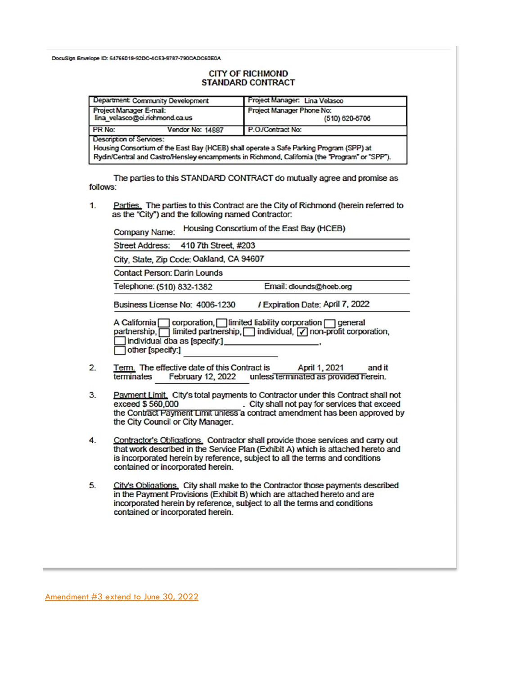DocuSign Envelope ID: 54766018-92DC-4C53-9787-790CADC50E0A

## **CITY OF RICHMOND STANDARD CONTRACT**

| Department: Community Development                                                                                   | Project Manager: Lina Velasco                                                                  |  |  |  |  |  |
|---------------------------------------------------------------------------------------------------------------------|------------------------------------------------------------------------------------------------|--|--|--|--|--|
| Project Manager E-mail:<br>lina velasco@ci.richmond.ca.us                                                           | Project Manager Phone No:<br>$(510) 620 - 6706$                                                |  |  |  |  |  |
| PR No:<br>Vendor No: 14887                                                                                          | P.O./Contract No:                                                                              |  |  |  |  |  |
| Description of Services:<br>Housing Consortium of the East Bay (HCEB) shall operate a Safe Parking Program (SPP) at | Rydin/Central and Castro/Hensley encampments in Richmond, California (the "Program" or "SPP"). |  |  |  |  |  |

The parties to this STANDARD CONTRACT do mutually agree and promise as follows:

Parties. The parties to this Contract are the City of Richmond (herein referred to  $\mathbf{1}$ as the "City") and the following named Contractor.

Housing Consortium of the East Bay (HCEB) Company Name:

**Street Address:** 410 7th Street, #203

City, State, Zip Code: Oakland, CA 94607

**Contact Person: Darin Lounds** 

Email: dlounds@hoeb.org Telephone: (510) 832-1382

/ Expiration Date: April 7, 2022 Business License No: 4006-1230

A California | corporation, | limited liability corporation | general<br>partnership, | limited partnership, | individual, | | non-profit corporation, individual dba as [specify:]\_ other [specify:]

- $2.$ Term. The effective date of this Contract is April 1, 2021 and it terminates February 12, 2022 unless terminated as provided herein.
- Payment Limit. City's total payments to Contractor under this Contract shall not 3. . City shall not pay for services that exceed exceed \$560,000 the Contract Payment Limit unless a contract amendment has been approved by the City Council or City Manager.
- Contractor's Obligations. Contractor shall provide those services and carry out 4. that work described in the Service Plan (Exhibit A) which is attached hereto and is incorporated herein by reference, subject to all the terms and conditions contained or incorporated herein.
- 5. City's Obligations. City shall make to the Contractor those payments described in the Payment Provisions (Exhibit B) which are attached hereto and are incorporated herein by reference, subject to all the terms and conditions contained or incorporated herein.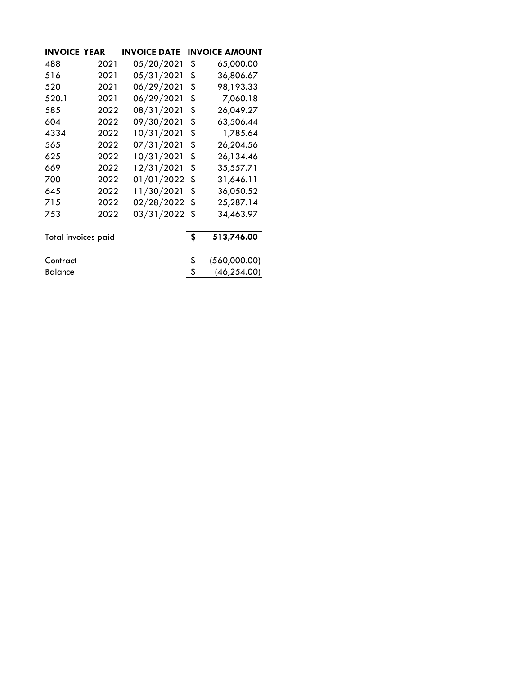| <b>INVOICE YEAR</b> |      | <b>INVOICE DATE</b> | <b>INVOICE AMOUNT</b> |
|---------------------|------|---------------------|-----------------------|
| 488                 | 2021 | 05/20/2021          | \$<br>65,000.00       |
| 516                 | 2021 | 05/31/2021          | \$<br>36,806.67       |
| 520                 | 2021 | 06/29/2021          | \$<br>98,193.33       |
| 520.1               | 2021 | 06/29/2021          | \$<br>7,060.18        |
| 585                 | 2022 | 08/31/2021          | \$<br>26,049.27       |
| 604                 | 2022 | 09/30/2021          | \$<br>63,506.44       |
| 4334                | 2022 | 10/31/2021          | \$<br>1,785.64        |
| 565                 | 2022 | 07/31/2021          | \$<br>26,204.56       |
| 625                 | 2022 | 10/31/2021          | \$<br>26,134.46       |
| 669                 | 2022 | 12/31/2021          | \$<br>35,557.71       |
| 700                 | 2022 | 01/01/2022          | \$<br>31,646.11       |
| 645                 | 2022 | 11/30/2021          | \$<br>36,050.52       |
| 715                 | 2022 | 02/28/2022          | \$<br>25,287.14       |
| 753                 | 2022 | 03/31/2022          | \$<br>34,463.97       |
| Total invoices paid |      |                     | \$<br>513,746.00      |
| Contract            |      |                     | \$<br>(560,000.00)    |
| <b>Balance</b>      |      |                     | (46, 254.00)          |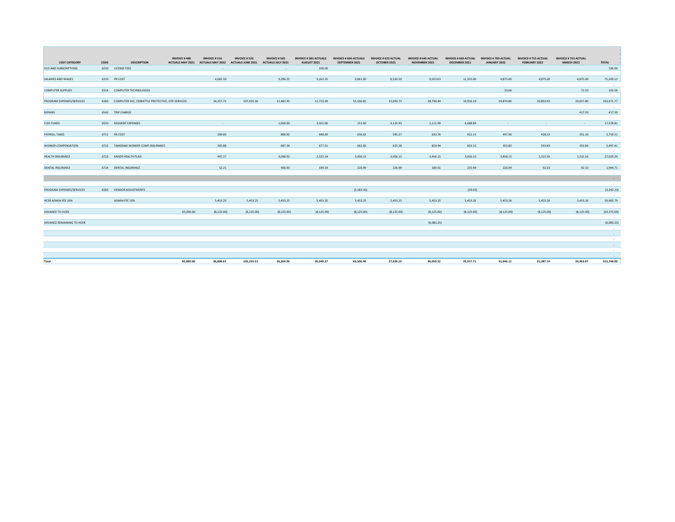| <b>COST CATEGORY</b>       | CODE | <b>DESCRIPTION</b>                                    | <b>INVOICE #488</b><br><b>ACTUALS MAY 2021</b> | <b>INVOICE # 516</b><br><b>ACTUALS MAY 2022</b> | <b>INVOICE #520</b><br><b>ACTUALS JUNE 2021</b> | <b>INVOICE # 565</b><br>ACTUALS JULY 2021 | <b>INVOICE # 585 ACTUALS</b><br>AUGUST 2021 | <b>INVOICE # 604 ACTUALS</b><br>SEPTEMBER 2021 | <b>INVOICE # 625 ACTUAL</b><br>OCTOBER 2021 | <b>INVOICE # 645 ACTUAL</b><br>NOVEMBER 2021 | <b>INVOICE # 669 ACTUAL</b><br>DECEMBER 2021 | <b>INVOICE #700 ACTUAL</b><br>JANUARY 2022 | <b>INVOICE # 715 ACTUAL</b><br>FEBRUARY 2022 | <b>INVOICE # 753 ACTUAL</b><br><b>MARCH 2022</b> | TOTAL                 |
|----------------------------|------|-------------------------------------------------------|------------------------------------------------|-------------------------------------------------|-------------------------------------------------|-------------------------------------------|---------------------------------------------|------------------------------------------------|---------------------------------------------|----------------------------------------------|----------------------------------------------|--------------------------------------------|----------------------------------------------|--------------------------------------------------|-----------------------|
| DUE AND SUBSCRIPTIONS      |      | 6250 LICENSE FEES                                     |                                                |                                                 |                                                 |                                           | 196.00                                      |                                                |                                             |                                              |                                              |                                            |                                              |                                                  | 196.00                |
|                            |      |                                                       |                                                |                                                 |                                                 |                                           |                                             |                                                |                                             |                                              |                                              |                                            |                                              |                                                  | $\sim$                |
| SALARIES AND WAGES         |      | 6310 PR COST                                          |                                                | 4,065.50                                        |                                                 | 9,396.25                                  | 9,262.25                                    | 9,061.00                                       | 8,520.50                                    | 9,023.63                                     | 11,355.00                                    | 4,875.00                                   | 4,875.00                                     | 4,875.00                                         | 75,309.13<br>$\sim$   |
| <b>COMPUTER SUPPLIES</b>   |      | 6314 COMPUTER TECHNOLOGIES                            |                                                |                                                 |                                                 |                                           |                                             |                                                |                                             |                                              |                                              | 33.06                                      |                                              | 72.50                                            | 105.56                |
|                            |      |                                                       |                                                |                                                 |                                                 |                                           |                                             |                                                |                                             |                                              |                                              |                                            |                                              |                                                  | $\sim$                |
| PROGRAM EXPENSES/SERVICES  |      | 6383 COMPUTER SVC, EMBATTLE PROTECTIVE, SITE SERVICES |                                                | 34,257.71                                       | 107,925.26                                      | 12,481.95                                 | 11,713.09                                   | 55,166.81                                      | 13,043.73                                   | 28,740.44                                    | 14,916.19                                    | 24,874.86                                  | 20,893.93                                    | 29,657.80                                        | 353,671.77            |
|                            |      |                                                       |                                                |                                                 |                                                 |                                           |                                             |                                                |                                             |                                              |                                              |                                            |                                              |                                                  | $\sim$                |
| <b>REPAIRS</b>             |      | 6542 TRIP CHARGE                                      |                                                |                                                 |                                                 |                                           |                                             |                                                |                                             |                                              |                                              |                                            |                                              | 417.59                                           | 417.59                |
|                            |      |                                                       |                                                |                                                 |                                                 |                                           |                                             |                                                |                                             |                                              |                                              |                                            |                                              |                                                  | $\sim$                |
| <b>FLEX FUNDS</b>          |      | 6550 RESIDENT EXPENSES                                |                                                |                                                 |                                                 | 1,000.00                                  | 3,501.00                                    | 151.00                                         | 4,125.93                                    | 2,111.99                                     | 6,688.89                                     | $\sim$                                     | $\sim$                                       | <b>Section</b>                                   | 17,578.81             |
|                            |      |                                                       |                                                |                                                 |                                                 |                                           |                                             |                                                |                                             |                                              |                                              |                                            |                                              |                                                  | $\sim$                |
| PAYROLL TAXES              |      | 6711 PR COST                                          |                                                | 299.85                                          |                                                 | 806.92                                    | 648.69                                      | 636.62                                         | 595.27                                      | 633.76                                       | 812.11                                       | 497.96                                     | 428.23                                       | 351.10                                           | 5,710.51              |
|                            |      |                                                       |                                                |                                                 |                                                 |                                           |                                             |                                                |                                             |                                              |                                              |                                            |                                              |                                                  | $\sim$                |
| <b>WORKER COMPENSATION</b> |      | 6722 TANGRAM WORKER COMP.INSURANCE                    |                                                | 305.88                                          |                                                 | 687.34                                    | 677.51                                      | 662.82                                         | 623.28                                      | 654.94                                       | 824.15                                       | 353.83                                     | 353.83                                       | 353.83                                           | 5,497.41              |
|                            |      |                                                       |                                                |                                                 |                                                 |                                           |                                             |                                                |                                             |                                              |                                              |                                            |                                              |                                                  | $\sim$ $\sim$         |
| HEALTH INSURANCE           |      | 6723 KAISER HEALTH PLAN                               |                                                | 497.27                                          |                                                 | 4.096.92                                  | 2,523.14                                    | 3.456.15                                       | 3,456.15                                    | 3,456.15                                     | 3,456.15                                     | 3,456.15                                   | 1,315.56                                     | 1,315.56                                         | 27,029.20             |
|                            |      |                                                       |                                                |                                                 |                                                 |                                           |                                             |                                                |                                             |                                              |                                              |                                            |                                              |                                                  | $\sim$                |
| DENTAL INSURANCE           |      | 6724 DENTAL INSURANCE                                 |                                                | 52.21                                           |                                                 | 406.93                                    | 199.34                                      | 226.99                                         | 226.99                                      | 184.61                                       | 235.99                                       | 226.99                                     | 92.33                                        | 92.33                                            | 1,944.71              |
|                            |      |                                                       |                                                |                                                 |                                                 |                                           |                                             |                                                |                                             |                                              |                                              |                                            |                                              |                                                  | $\sim$                |
|                            |      |                                                       |                                                |                                                 |                                                 |                                           |                                             |                                                |                                             |                                              |                                              |                                            |                                              |                                                  | $\sim 100$            |
| PROGRAM EXPENSES/SERVICES  |      | 6383 VENDOR ADJUSTMENTS                               |                                                |                                                 |                                                 |                                           |                                             | (3, 183.20)                                    |                                             |                                              | (59.03)                                      |                                            |                                              |                                                  | $\sim$<br>(3, 242.23) |
|                            |      |                                                       |                                                |                                                 |                                                 |                                           |                                             |                                                |                                             |                                              |                                              |                                            |                                              |                                                  | $\sim$                |
| HCEB ADMIN FEE 10%         |      | ADMIN FEE 10%                                         |                                                | 5,453.25                                        | 5,453.25                                        | 5,453.25                                  | 5,453.25                                    | 5,453.25                                       | 5,453.25                                    | 5,453.25                                     | 5,453.26                                     | 5,453.26                                   | 5,453.26                                     | 5,453.26                                         | 59,985.79             |
|                            |      |                                                       |                                                |                                                 |                                                 |                                           |                                             |                                                |                                             |                                              |                                              |                                            |                                              |                                                  | $\sim$                |
| ADVANCE TO HCEB            |      |                                                       | 65,000.00                                      | (8, 125.00)                                     | (8, 125.00)                                     | (8, 125.00)                               | (8, 125.00)                                 | (8, 125.00)                                    | (8, 125.00)                                 | (8, 125.00)                                  | (8, 125.00)                                  | (8, 125.00)                                | (8, 125.00)                                  | (8, 125.00)                                      | (24, 375.00)          |
|                            |      |                                                       |                                                |                                                 |                                                 |                                           |                                             |                                                |                                             |                                              |                                              |                                            |                                              |                                                  | $\sim$                |
| ADVANCE REMAINING TO HCEB  |      |                                                       |                                                |                                                 |                                                 |                                           |                                             |                                                |                                             | (6,083.25)                                   |                                              |                                            |                                              |                                                  | (6,083.25)            |
|                            |      |                                                       |                                                |                                                 |                                                 |                                           |                                             |                                                |                                             |                                              |                                              |                                            |                                              |                                                  | $\sim$                |
|                            |      |                                                       |                                                |                                                 |                                                 |                                           |                                             |                                                |                                             |                                              |                                              |                                            |                                              |                                                  | $\sim$                |
|                            |      |                                                       |                                                |                                                 |                                                 |                                           |                                             |                                                |                                             |                                              |                                              |                                            |                                              |                                                  | $\sim$                |
|                            |      |                                                       |                                                |                                                 |                                                 |                                           |                                             |                                                |                                             |                                              |                                              |                                            |                                              |                                                  | $\sim$                |
|                            |      |                                                       |                                                |                                                 |                                                 |                                           |                                             |                                                |                                             |                                              |                                              |                                            |                                              |                                                  | $\sim$                |
|                            |      |                                                       |                                                |                                                 |                                                 |                                           |                                             |                                                |                                             |                                              |                                              |                                            |                                              |                                                  | $\sim$                |
| Total                      |      |                                                       | 65,000.00                                      | 36,806.67                                       | 105,253.51                                      | 26,204.56                                 | 26.049.27                                   | 63.506.44                                      | 27,920.10                                   | 36,050.52                                    | 35,557.71                                    | 31,646.11                                  | 25,287.14                                    | 34,463.97                                        | 513,746.00            |